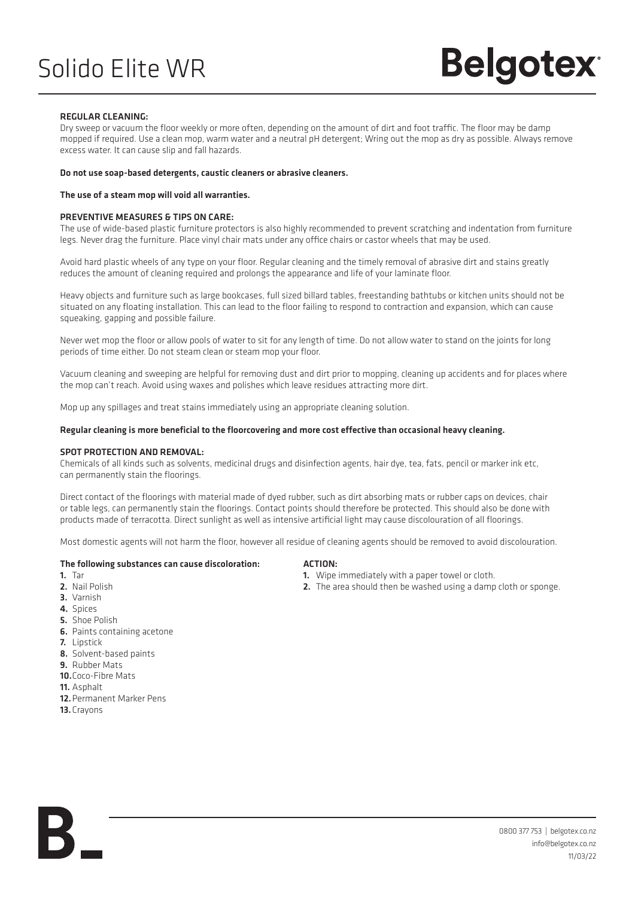### Solido Elite WR

# **Belgotex**

#### REGULAR CLEANING:

Dry sweep or vacuum the floor weekly or more often, depending on the amount of dirt and foot traffic. The floor may be damp mopped if required. Use a clean mop, warm water and a neutral pH detergent; Wring out the mop as dry as possible. Always remove excess water. It can cause slip and fall hazards.

#### Do not use soap-based detergents, caustic cleaners or abrasive cleaners.

#### The use of a steam mop will void all warranties.

#### PREVENTIVE MEASURES & TIPS ON CARE:

The use of wide-based plastic furniture protectors is also highly recommended to prevent scratching and indentation from furniture legs. Never drag the furniture. Place vinyl chair mats under any office chairs or castor wheels that may be used.

Avoid hard plastic wheels of any type on your floor. Regular cleaning and the timely removal of abrasive dirt and stains greatly reduces the amount of cleaning required and prolongs the appearance and life of your laminate floor.

Heavy objects and furniture such as large bookcases, full sized billard tables, freestanding bathtubs or kitchen units should not be situated on any floating installation. This can lead to the floor failing to respond to contraction and expansion, which can cause squeaking, gapping and possible failure.

Never wet mop the floor or allow pools of water to sit for any length of time. Do not allow water to stand on the joints for long periods of time either. Do not steam clean or steam mop your floor.

Vacuum cleaning and sweeping are helpful for removing dust and dirt prior to mopping, cleaning up accidents and for places where the mop can't reach. Avoid using waxes and polishes which leave residues attracting more dirt.

Mop up any spillages and treat stains immediately using an appropriate cleaning solution.

#### Regular cleaning is more beneficial to the floorcovering and more cost effective than occasional heavy cleaning.

#### SPOT PROTECTION AND REMOVAL:

Chemicals of all kinds such as solvents, medicinal drugs and disinfection agents, hair dye, tea, fats, pencil or marker ink etc, can permanently stain the floorings.

Direct contact of the floorings with material made of dyed rubber, such as dirt absorbing mats or rubber caps on devices, chair or table legs, can permanently stain the floorings. Contact points should therefore be protected. This should also be done with products made of terracotta. Direct sunlight as well as intensive artificial light may cause discolouration of all floorings.

Most domestic agents will not harm the floor, however all residue of cleaning agents should be removed to avoid discolouration.

### The following substances can cause discoloration:  $A = \frac{A}{1 - M}$  ACTION:

- 
- 
- 3. Varnish
- 4. Snires
- 5. Shoe Polish
- 6. Paints containing acetone
- 7. Lipstick
- 8. Solvent-based paints
- 9. Rubber Mats
- 10.Coco-Fibre Mats
- 11. Asphalt
- 12.Permanent Marker Pens
- 13.Crayons

- 1. Wipe immediately with a paper towel or cloth.
- 2. Nail Polish 2. The area should then be washed using a damp cloth or sponge.